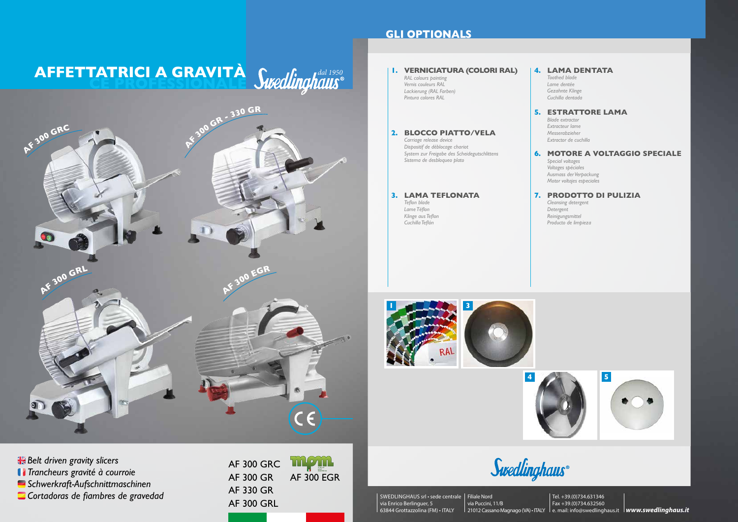# **AFFETTATRICI A GRAVITA** *Cucalinabane*<sup>d</sup> **CE PROFESSIONALE**

AF 300 GRC AF 300 GR AF 330 GR AF 300 GRL



*Belt driven gravity slicers Trancheurs gravité à courroie*

*Schwerkraft-Aufschnittmaschinen*

*Cortadoras de fiambres de gravedad*

## **GLI OPTIONALS**



### **1 5 3 4 1. VERNICIATURA (COLORI RAL)** *RAL colours painting Vernis couleurs RAL Lackierung (RAL Farben) Pintura colores RAL* **2. BLOCCO PIATTO/VELA** *Carriage release device Dispositif de déblocage chariot System zur Freigabe des Scheidegutschlittens Sistema de desbloqueo plato* **3. LAMA TEFLONATA** *Teflon blade Lame Téflon Klinge aus Teflon Cuchilla Teflón* **4. LAMA DENTATA** *Toothed blade Lame dentée Gezahnte Klinge Cuchilla dentada* **5. ESTRATTORE LAMA** *Blade extractor Extracteur lame Messerabzieher Extractor de cuchilla* **6. MOTORE A VOLTAGGIO SPECIALE** *Special voltages Voltages spéciales Ausmass der Verpackung Motor voltajes especiales* **7. PRODOTTO DI PULIZIA** *Cleansing detergent Detergent Reinigungsmittel Producto de limpieza*

Swedlinghaus®

SWEDLINGHAUS srl • sede centrale Filiale Nord via Enrico Berlinguer, 5 63844 Grottazzolina (FM) • ITALY

via Puccini, 11/B 21012 Cassano Magnago (VA) • ITALY le. mail: info@swedlinghaus.it **lwww.swedlinghaus.it** Tel. +39.(0)734.631346 Fax +39.(0)734.632560